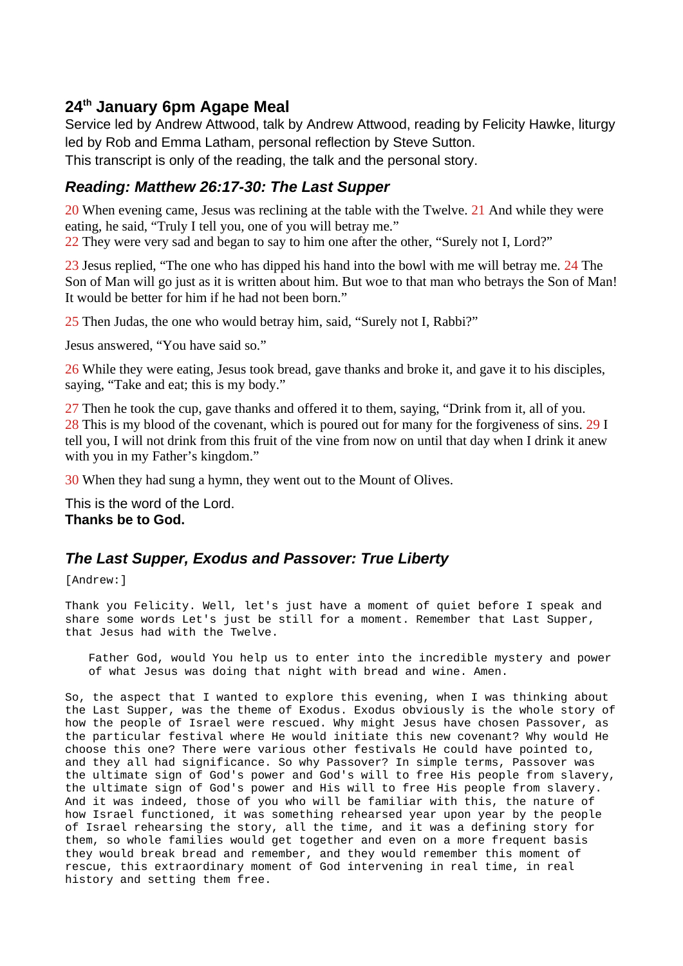## **24th January 6pm Agape Meal**

Service led by Andrew Attwood, talk by Andrew Attwood, reading by Felicity Hawke, liturgy led by Rob and Emma Latham, personal reflection by Steve Sutton. This transcript is only of the reading, the talk and the personal story.

## *Reading: Matthew 26:17-30: The Last Supper*

20 When evening came, Jesus was reclining at the table with the Twelve. 21 And while they were eating, he said, "Truly I tell you, one of you will betray me."

22 They were very sad and began to say to him one after the other, "Surely not I, Lord?"

23 Jesus replied, "The one who has dipped his hand into the bowl with me will betray me. 24 The Son of Man will go just as it is written about him. But woe to that man who betrays the Son of Man! It would be better for him if he had not been born."

25 Then Judas, the one who would betray him, said, "Surely not I, Rabbi?"

Jesus answered, "You have said so."

26 While they were eating, Jesus took bread, gave thanks and broke it, and gave it to his disciples, saying, "Take and eat; this is my body."

27 Then he took the cup, gave thanks and offered it to them, saying, "Drink from it, all of you. 28 This is my blood of the covenant, which is poured out for many for the forgiveness of sins. 29 I tell you, I will not drink from this fruit of the vine from now on until that day when I drink it anew with you in my Father's kingdom."

30 When they had sung a hymn, they went out to the Mount of Olives.

This is the word of the Lord. **Thanks be to God.**

## *The Last Supper, Exodus and Passover: True Liberty*

[Andrew:]

Thank you Felicity. Well, let's just have a moment of quiet before I speak and share some words Let's just be still for a moment. Remember that Last Supper, that Jesus had with the Twelve.

Father God, would You help us to enter into the incredible mystery and power of what Jesus was doing that night with bread and wine. Amen.

So, the aspect that I wanted to explore this evening, when I was thinking about the Last Supper, was the theme of Exodus. Exodus obviously is the whole story of how the people of Israel were rescued. Why might Jesus have chosen Passover, as the particular festival where He would initiate this new covenant? Why would He choose this one? There were various other festivals He could have pointed to, and they all had significance. So why Passover? In simple terms, Passover was the ultimate sign of God's power and God's will to free His people from slavery, the ultimate sign of God's power and His will to free His people from slavery. And it was indeed, those of you who will be familiar with this, the nature of how Israel functioned, it was something rehearsed year upon year by the people of Israel rehearsing the story, all the time, and it was a defining story for them, so whole families would get together and even on a more frequent basis they would break bread and remember, and they would remember this moment of rescue, this extraordinary moment of God intervening in real time, in real history and setting them free.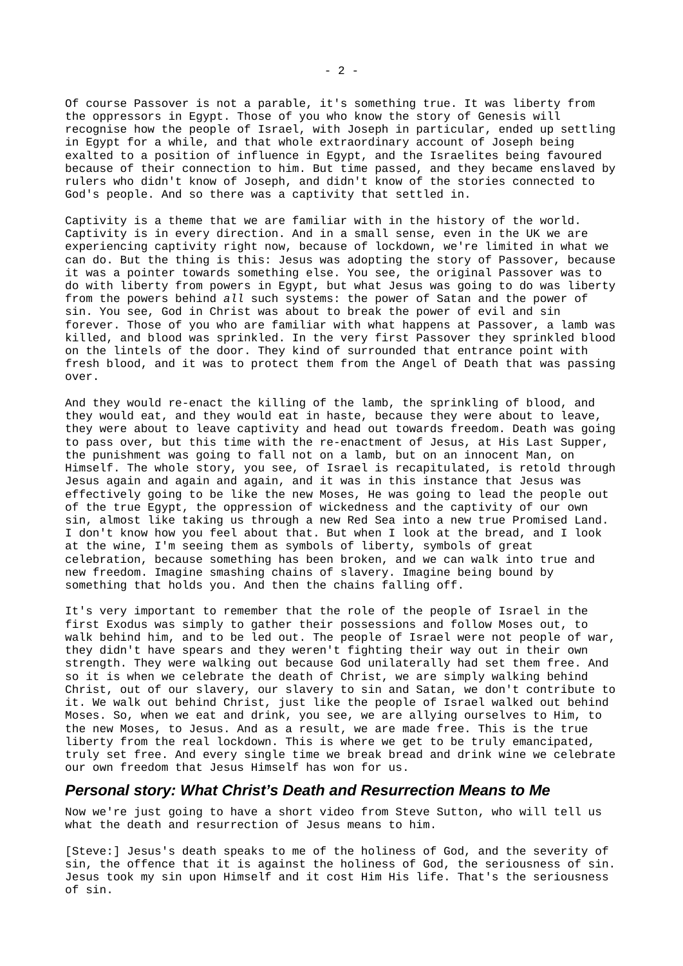Of course Passover is not a parable, it's something true. It was liberty from the oppressors in Egypt. Those of you who know the story of Genesis will recognise how the people of Israel, with Joseph in particular, ended up settling in Egypt for a while, and that whole extraordinary account of Joseph being exalted to a position of influence in Egypt, and the Israelites being favoured because of their connection to him. But time passed, and they became enslaved by rulers who didn't know of Joseph, and didn't know of the stories connected to God's people. And so there was a captivity that settled in.

Captivity is a theme that we are familiar with in the history of the world. Captivity is in every direction. And in a small sense, even in the UK we are experiencing captivity right now, because of lockdown, we're limited in what we can do. But the thing is this: Jesus was adopting the story of Passover, because it was a pointer towards something else. You see, the original Passover was to do with liberty from powers in Egypt, but what Jesus was going to do was liberty from the powers behind *all* such systems: the power of Satan and the power of sin. You see, God in Christ was about to break the power of evil and sin forever. Those of you who are familiar with what happens at Passover, a lamb was killed, and blood was sprinkled. In the very first Passover they sprinkled blood on the lintels of the door. They kind of surrounded that entrance point with fresh blood, and it was to protect them from the Angel of Death that was passing over.

And they would re-enact the killing of the lamb, the sprinkling of blood, and they would eat, and they would eat in haste, because they were about to leave, they were about to leave captivity and head out towards freedom. Death was going to pass over, but this time with the re-enactment of Jesus, at His Last Supper, the punishment was going to fall not on a lamb, but on an innocent Man, on Himself. The whole story, you see, of Israel is recapitulated, is retold through Jesus again and again and again, and it was in this instance that Jesus was effectively going to be like the new Moses, He was going to lead the people out of the true Egypt, the oppression of wickedness and the captivity of our own sin, almost like taking us through a new Red Sea into a new true Promised Land. I don't know how you feel about that. But when I look at the bread, and I look at the wine, I'm seeing them as symbols of liberty, symbols of great celebration, because something has been broken, and we can walk into true and new freedom. Imagine smashing chains of slavery. Imagine being bound by something that holds you. And then the chains falling off.

It's very important to remember that the role of the people of Israel in the first Exodus was simply to gather their possessions and follow Moses out, to walk behind him, and to be led out. The people of Israel were not people of war, they didn't have spears and they weren't fighting their way out in their own strength. They were walking out because God unilaterally had set them free. And so it is when we celebrate the death of Christ, we are simply walking behind Christ, out of our slavery, our slavery to sin and Satan, we don't contribute to it. We walk out behind Christ, just like the people of Israel walked out behind Moses. So, when we eat and drink, you see, we are allying ourselves to Him, to the new Moses, to Jesus. And as a result, we are made free. This is the true liberty from the real lockdown. This is where we get to be truly emancipated, truly set free. And every single time we break bread and drink wine we celebrate our own freedom that Jesus Himself has won for us.

## *Personal story: What Christ's Death and Resurrection Means to Me*

Now we're just going to have a short video from Steve Sutton, who will tell us what the death and resurrection of Jesus means to him.

[Steve:] Jesus's death speaks to me of the holiness of God, and the severity of sin, the offence that it is against the holiness of God, the seriousness of sin. Jesus took my sin upon Himself and it cost Him His life. That's the seriousness of sin.